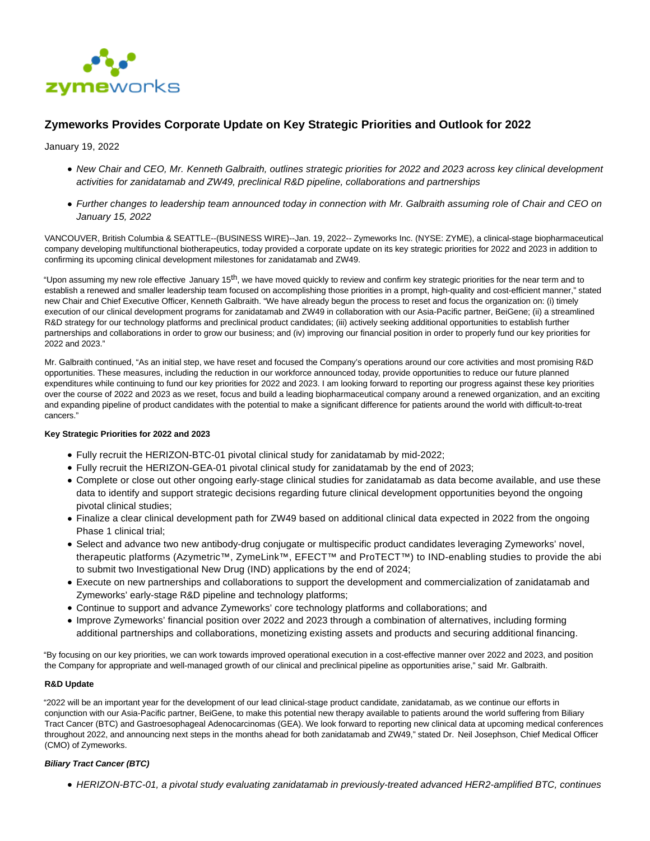

# **Zymeworks Provides Corporate Update on Key Strategic Priorities and Outlook for 2022**

January 19, 2022

- New Chair and CEO, Mr. Kenneth Galbraith, outlines strategic priorities for 2022 and 2023 across key clinical development activities for zanidatamab and ZW49, preclinical R&D pipeline, collaborations and partnerships
- Further changes to leadership team announced today in connection with Mr. Galbraith assuming role of Chair and CEO on January 15, 2022

VANCOUVER, British Columbia & SEATTLE--(BUSINESS WIRE)--Jan. 19, 2022-- Zymeworks Inc. (NYSE: ZYME), a clinical-stage biopharmaceutical company developing multifunctional biotherapeutics, today provided a corporate update on its key strategic priorities for 2022 and 2023 in addition to confirming its upcoming clinical development milestones for zanidatamab and ZW49.

"Upon assuming my new role effective January 15<sup>th</sup>, we have moved quickly to review and confirm key strategic priorities for the near term and to establish a renewed and smaller leadership team focused on accomplishing those priorities in a prompt, high-quality and cost-efficient manner," stated new Chair and Chief Executive Officer, Kenneth Galbraith. "We have already begun the process to reset and focus the organization on: (i) timely execution of our clinical development programs for zanidatamab and ZW49 in collaboration with our Asia-Pacific partner, BeiGene; (ii) a streamlined R&D strategy for our technology platforms and preclinical product candidates; (iii) actively seeking additional opportunities to establish further partnerships and collaborations in order to grow our business; and (iv) improving our financial position in order to properly fund our key priorities for 2022 and 2023."

Mr. Galbraith continued, "As an initial step, we have reset and focused the Company's operations around our core activities and most promising R&D opportunities. These measures, including the reduction in our workforce announced today, provide opportunities to reduce our future planned expenditures while continuing to fund our key priorities for 2022 and 2023. I am looking forward to reporting our progress against these key priorities over the course of 2022 and 2023 as we reset, focus and build a leading biopharmaceutical company around a renewed organization, and an exciting and expanding pipeline of product candidates with the potential to make a significant difference for patients around the world with difficult-to-treat cancers."

# **Key Strategic Priorities for 2022 and 2023**

- Fully recruit the HERIZON-BTC-01 pivotal clinical study for zanidatamab by mid-2022;
- Fully recruit the HERIZON-GEA-01 pivotal clinical study for zanidatamab by the end of 2023;
- Complete or close out other ongoing early-stage clinical studies for zanidatamab as data become available, and use these data to identify and support strategic decisions regarding future clinical development opportunities beyond the ongoing pivotal clinical studies;
- Finalize a clear clinical development path for ZW49 based on additional clinical data expected in 2022 from the ongoing Phase 1 clinical trial;
- Select and advance two new antibody-drug conjugate or multispecific product candidates leveraging Zymeworks' novel, therapeutic platforms (Azymetric™, ZymeLink™, EFECT™ and ProTECT™) to IND-enabling studies to provide the abi to submit two Investigational New Drug (IND) applications by the end of 2024;
- Execute on new partnerships and collaborations to support the development and commercialization of zanidatamab and Zymeworks' early-stage R&D pipeline and technology platforms;
- Continue to support and advance Zymeworks' core technology platforms and collaborations; and
- Improve Zymeworks' financial position over 2022 and 2023 through a combination of alternatives, including forming additional partnerships and collaborations, monetizing existing assets and products and securing additional financing.

"By focusing on our key priorities, we can work towards improved operational execution in a cost-effective manner over 2022 and 2023, and position the Company for appropriate and well-managed growth of our clinical and preclinical pipeline as opportunities arise," said Mr. Galbraith.

# **R&D Update**

"2022 will be an important year for the development of our lead clinical-stage product candidate, zanidatamab, as we continue our efforts in conjunction with our Asia-Pacific partner, BeiGene, to make this potential new therapy available to patients around the world suffering from Biliary Tract Cancer (BTC) and Gastroesophageal Adenocarcinomas (GEA). We look forward to reporting new clinical data at upcoming medical conferences throughout 2022, and announcing next steps in the months ahead for both zanidatamab and ZW49," stated Dr. Neil Josephson, Chief Medical Officer (CMO) of Zymeworks.

# **Biliary Tract Cancer (BTC)**

HERIZON-BTC-01, a pivotal study evaluating zanidatamab in previously-treated advanced HER2-amplified BTC, continues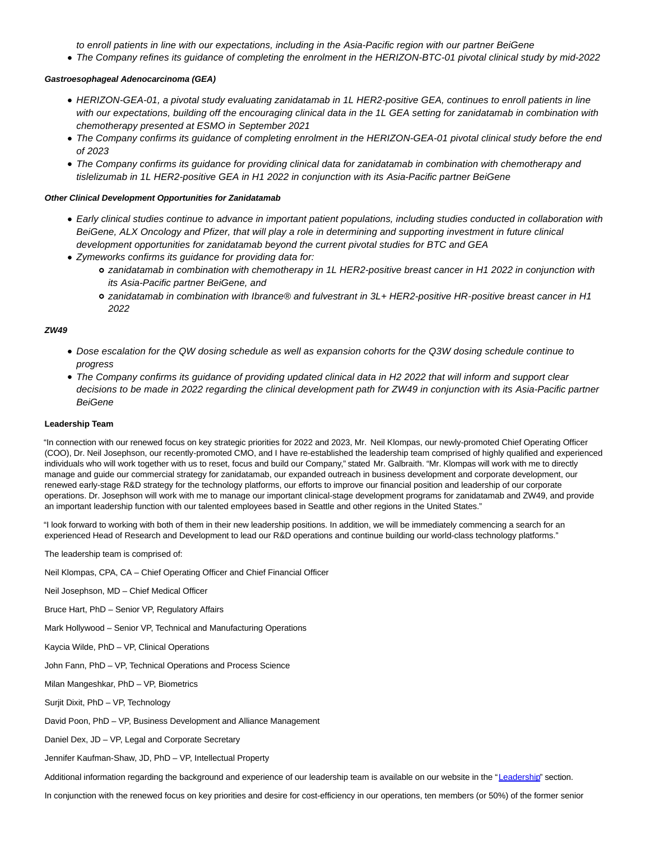to enroll patients in line with our expectations, including in the Asia-Pacific region with our partner BeiGene

The Company refines its guidance of completing the enrolment in the HERIZON-BTC-01 pivotal clinical study by mid-2022

## **Gastroesophageal Adenocarcinoma (GEA)**

- HERIZON-GEA-01, a pivotal study evaluating zanidatamab in 1L HER2-positive GEA, continues to enroll patients in line with our expectations, building off the encouraging clinical data in the 1L GEA setting for zanidatamab in combination with chemotherapy presented at ESMO in September 2021
- The Company confirms its guidance of completing enrolment in the HERIZON-GEA-01 pivotal clinical study before the end of 2023
- The Company confirms its guidance for providing clinical data for zanidatamab in combination with chemotherapy and tislelizumab in 1L HER2-positive GEA in H1 2022 in conjunction with its Asia-Pacific partner BeiGene

### **Other Clinical Development Opportunities for Zanidatamab**

- Early clinical studies continue to advance in important patient populations, including studies conducted in collaboration with BeiGene, ALX Oncology and Pfizer, that will play a role in determining and supporting investment in future clinical development opportunities for zanidatamab beyond the current pivotal studies for BTC and GEA
- Zymeworks confirms its guidance for providing data for:
	- zanidatamab in combination with chemotherapy in 1L HER2-positive breast cancer in H1 2022 in conjunction with its Asia-Pacific partner BeiGene, and
	- zanidatamab in combination with Ibrance® and fulvestrant in 3L+ HER2-positive HR*‑*positive breast cancer in H1 2022

## **ZW49**

- Dose escalation for the QW dosing schedule as well as expansion cohorts for the Q3W dosing schedule continue to progress
- The Company confirms its guidance of providing updated clinical data in H2 2022 that will inform and support clear decisions to be made in 2022 regarding the clinical development path for ZW49 in conjunction with its Asia-Pacific partner BeiGene

#### **Leadership Team**

"In connection with our renewed focus on key strategic priorities for 2022 and 2023, Mr. Neil Klompas, our newly-promoted Chief Operating Officer (COO), Dr. Neil Josephson, our recently-promoted CMO, and I have re-established the leadership team comprised of highly qualified and experienced individuals who will work together with us to reset, focus and build our Company," stated Mr. Galbraith. "Mr. Klompas will work with me to directly manage and guide our commercial strategy for zanidatamab, our expanded outreach in business development and corporate development, our renewed early-stage R&D strategy for the technology platforms, our efforts to improve our financial position and leadership of our corporate operations. Dr. Josephson will work with me to manage our important clinical-stage development programs for zanidatamab and ZW49, and provide an important leadership function with our talented employees based in Seattle and other regions in the United States."

"I look forward to working with both of them in their new leadership positions. In addition, we will be immediately commencing a search for an experienced Head of Research and Development to lead our R&D operations and continue building our world-class technology platforms."

The leadership team is comprised of:

Neil Klompas, CPA, CA – Chief Operating Officer and Chief Financial Officer

Neil Josephson, MD – Chief Medical Officer

Bruce Hart, PhD – Senior VP, Regulatory Affairs

Mark Hollywood – Senior VP, Technical and Manufacturing Operations

Kaycia Wilde, PhD – VP, Clinical Operations

John Fann, PhD – VP, Technical Operations and Process Science

Milan Mangeshkar, PhD – VP, Biometrics

Surjit Dixit, PhD – VP, Technology

David Poon, PhD – VP, Business Development and Alliance Management

Daniel Dex, JD – VP, Legal and Corporate Secretary

Jennifer Kaufman-Shaw, JD, PhD – VP, Intellectual Property

Additional information regarding the background and experience of our leadership team is available on our website in the ["Leadership"](https://cts.businesswire.com/ct/CT?id=smartlink&url=https%3A%2F%2Fwww.zymeworks.com%2Fabout%23management&esheet=52565451&newsitemid=20220119006020&lan=en-US&anchor=Leadership&index=1&md5=f7ffe315b9521b8fda94d23aac3fdd64) section.

In conjunction with the renewed focus on key priorities and desire for cost-efficiency in our operations, ten members (or 50%) of the former senior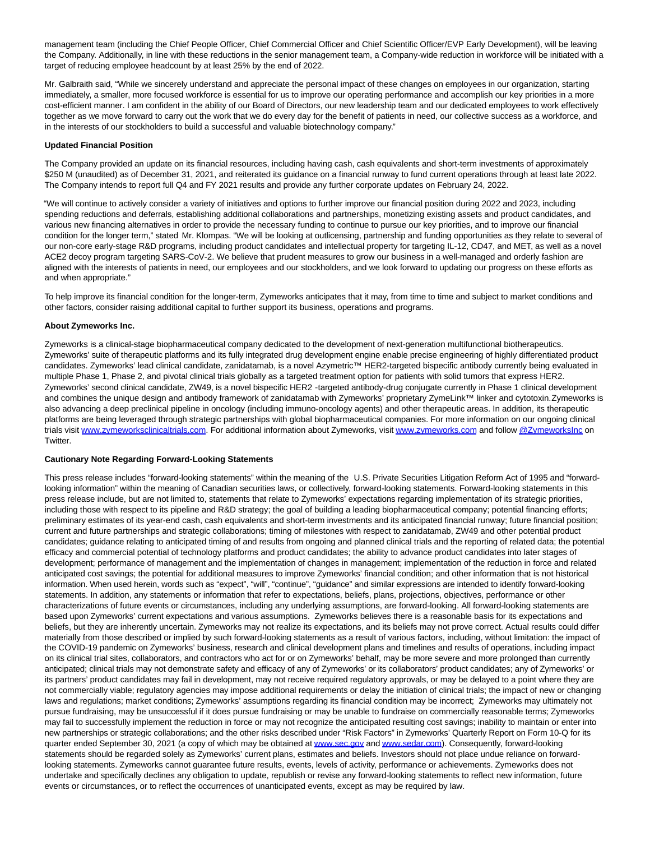management team (including the Chief People Officer, Chief Commercial Officer and Chief Scientific Officer/EVP Early Development), will be leaving the Company. Additionally, in line with these reductions in the senior management team, a Company-wide reduction in workforce will be initiated with a target of reducing employee headcount by at least 25% by the end of 2022.

Mr. Galbraith said, "While we sincerely understand and appreciate the personal impact of these changes on employees in our organization, starting immediately, a smaller, more focused workforce is essential for us to improve our operating performance and accomplish our key priorities in a more cost-efficient manner. I am confident in the ability of our Board of Directors, our new leadership team and our dedicated employees to work effectively together as we move forward to carry out the work that we do every day for the benefit of patients in need, our collective success as a workforce, and in the interests of our stockholders to build a successful and valuable biotechnology company."

#### **Updated Financial Position**

The Company provided an update on its financial resources, including having cash, cash equivalents and short-term investments of approximately \$250 M (unaudited) as of December 31, 2021, and reiterated its guidance on a financial runway to fund current operations through at least late 2022. The Company intends to report full Q4 and FY 2021 results and provide any further corporate updates on February 24, 2022.

"We will continue to actively consider a variety of initiatives and options to further improve our financial position during 2022 and 2023, including spending reductions and deferrals, establishing additional collaborations and partnerships, monetizing existing assets and product candidates, and various new financing alternatives in order to provide the necessary funding to continue to pursue our key priorities, and to improve our financial condition for the longer term," stated Mr. Klompas. "We will be looking at outlicensing, partnership and funding opportunities as they relate to several of our non-core early-stage R&D programs, including product candidates and intellectual property for targeting IL-12, CD47, and MET, as well as a novel ACE2 decoy program targeting SARS-CoV-2. We believe that prudent measures to grow our business in a well-managed and orderly fashion are aligned with the interests of patients in need, our employees and our stockholders, and we look forward to updating our progress on these efforts as and when appropriate."

To help improve its financial condition for the longer-term, Zymeworks anticipates that it may, from time to time and subject to market conditions and other factors, consider raising additional capital to further support its business, operations and programs.

#### **About Zymeworks Inc.**

Zymeworks is a clinical-stage biopharmaceutical company dedicated to the development of next-generation multifunctional biotherapeutics. Zymeworks' suite of therapeutic platforms and its fully integrated drug development engine enable precise engineering of highly differentiated product candidates. Zymeworks' lead clinical candidate, zanidatamab, is a novel Azymetric™ HER2-targeted bispecific antibody currently being evaluated in multiple Phase 1, Phase 2, and pivotal clinical trials globally as a targeted treatment option for patients with solid tumors that express HER2. Zymeworks' second clinical candidate, ZW49, is a novel bispecific HER2 ‑targeted antibody-drug conjugate currently in Phase 1 clinical development and combines the unique design and antibody framework of zanidatamab with Zymeworks' proprietary ZymeLink™ linker and cytotoxin. Zymeworks is also advancing a deep preclinical pipeline in oncology (including immuno-oncology agents) and other therapeutic areas. In addition, its therapeutic platforms are being leveraged through strategic partnerships with global biopharmaceutical companies. For more information on our ongoing clinical trials visit [www.zymeworksclinicaltrials.com.](https://cts.businesswire.com/ct/CT?id=smartlink&url=http%3A%2F%2Fwww.zymeworksclinicaltrials.com&esheet=52565451&newsitemid=20220119006020&lan=en-US&anchor=www.zymeworksclinicaltrials.com&index=2&md5=6451b800e3774428b3c32aaab4bc869e) For additional information about Zymeworks, visit [www.zymeworks.com a](https://cts.businesswire.com/ct/CT?id=smartlink&url=https%3A%2F%2Fwww.zymeworks.com%2Findex&esheet=52565451&newsitemid=20220119006020&lan=en-US&anchor=www.zymeworks.com&index=3&md5=f0f5f7b148a273fe8af1a8abc088d586)nd follo[w @ZymeworksInc o](https://cts.businesswire.com/ct/CT?id=smartlink&url=https%3A%2F%2Ftwitter.com%2FZymeworksInc&esheet=52565451&newsitemid=20220119006020&lan=en-US&anchor=%40ZymeworksInc&index=4&md5=a35b4c178e82b1a2e3c1f27e0ed133ef)n Twitter.

#### **Cautionary Note Regarding Forward-Looking Statements**

This press release includes "forward-looking statements" within the meaning of the U.S. Private Securities Litigation Reform Act of 1995 and "forwardlooking information" within the meaning of Canadian securities laws, or collectively, forward-looking statements. Forward-looking statements in this press release include, but are not limited to, statements that relate to Zymeworks' expectations regarding implementation of its strategic priorities, including those with respect to its pipeline and R&D strategy; the goal of building a leading biopharmaceutical company; potential financing efforts; preliminary estimates of its year-end cash, cash equivalents and short-term investments and its anticipated financial runway; future financial position; current and future partnerships and strategic collaborations; timing of milestones with respect to zanidatamab, ZW49 and other potential product candidates; guidance relating to anticipated timing of and results from ongoing and planned clinical trials and the reporting of related data; the potential efficacy and commercial potential of technology platforms and product candidates; the ability to advance product candidates into later stages of development; performance of management and the implementation of changes in management; implementation of the reduction in force and related anticipated cost savings; the potential for additional measures to improve Zymeworks' financial condition; and other information that is not historical information. When used herein, words such as "expect", "will", "continue", "guidance" and similar expressions are intended to identify forward-looking statements. In addition, any statements or information that refer to expectations, beliefs, plans, projections, objectives, performance or other characterizations of future events or circumstances, including any underlying assumptions, are forward-looking. All forward-looking statements are based upon Zymeworks' current expectations and various assumptions. Zymeworks believes there is a reasonable basis for its expectations and beliefs, but they are inherently uncertain. Zymeworks may not realize its expectations, and its beliefs may not prove correct. Actual results could differ materially from those described or implied by such forward-looking statements as a result of various factors, including, without limitation: the impact of the COVID-19 pandemic on Zymeworks' business, research and clinical development plans and timelines and results of operations, including impact on its clinical trial sites, collaborators, and contractors who act for or on Zymeworks' behalf, may be more severe and more prolonged than currently anticipated; clinical trials may not demonstrate safety and efficacy of any of Zymeworks' or its collaborators' product candidates; any of Zymeworks' or its partners' product candidates may fail in development, may not receive required regulatory approvals, or may be delayed to a point where they are not commercially viable; regulatory agencies may impose additional requirements or delay the initiation of clinical trials; the impact of new or changing laws and regulations; market conditions; Zymeworks' assumptions regarding its financial condition may be incorrect; Zymeworks may ultimately not pursue fundraising, may be unsuccessful if it does pursue fundraising or may be unable to fundraise on commercially reasonable terms; Zymeworks may fail to successfully implement the reduction in force or may not recognize the anticipated resulting cost savings; inability to maintain or enter into new partnerships or strategic collaborations; and the other risks described under "Risk Factors" in Zymeworks' Quarterly Report on Form 10-Q for its quarter ended September 30, 2021 (a copy of which may be obtained a[t www.sec.gov a](https://cts.businesswire.com/ct/CT?id=smartlink&url=http%3A%2F%2Fwww.sec.gov&esheet=52565451&newsitemid=20220119006020&lan=en-US&anchor=www.sec.gov&index=5&md5=99570af34dd75d6f2ff6126ce7429e94)n[d www.sedar.com\).](https://cts.businesswire.com/ct/CT?id=smartlink&url=http%3A%2F%2Fwww.sedar.com&esheet=52565451&newsitemid=20220119006020&lan=en-US&anchor=www.sedar.com&index=6&md5=dec9281697f67d11e440d033080e4778) Consequently, forward-looking statements should be regarded solely as Zymeworks' current plans, estimates and beliefs. Investors should not place undue reliance on forwardlooking statements. Zymeworks cannot guarantee future results, events, levels of activity, performance or achievements. Zymeworks does not undertake and specifically declines any obligation to update, republish or revise any forward-looking statements to reflect new information, future events or circumstances, or to reflect the occurrences of unanticipated events, except as may be required by law.